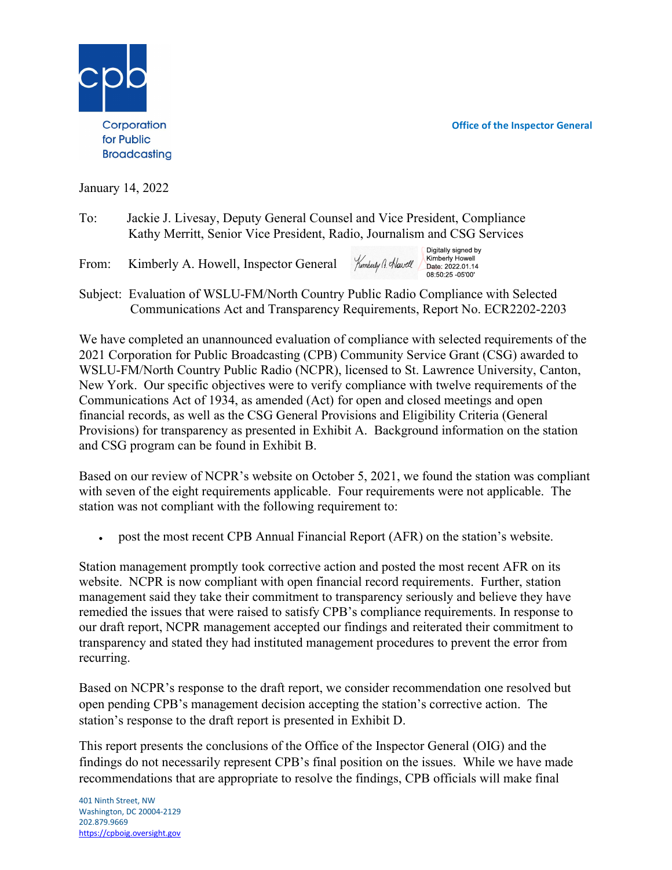Office of the Inspector General



January 14, 2022

- To: Jackie J. Livesay, Deputy General Counsel and Vice President, Compliance Kathy Merritt, Senior Vice President, Radio, Journalism and CSG Services
- From: Kimberly A. Howell, Inspector General
- Digitally signed by Kimberly Howell Kimberly G. Hawell Date: 2022.01.14 08:50:25 -05'00'
- Subject: Evaluation of WSLU-FM/North Country Public Radio Compliance with Selected Communications Act and Transparency Requirements, Report No. ECR2202-2203

We have completed an unannounced evaluation of compliance with selected requirements of the 2021 Corporation for Public Broadcasting (CPB) Community Service Grant (CSG) awarded to WSLU-FM/North Country Public Radio (NCPR), licensed to St. Lawrence University, Canton, New York. Our specific objectives were to verify compliance with twelve requirements of the Communications Act of 1934, as amended (Act) for open and closed meetings and open financial records, as well as the CSG General Provisions and Eligibility Criteria (General Provisions) for transparency as presented in Exhibit A. Background information on the station and CSG program can be found in Exhibit B.

Based on our review of NCPR's website on October 5, 2021, we found the station was compliant with seven of the eight requirements applicable. Four requirements were not applicable. The station was not compliant with the following requirement to:

post the most recent CPB Annual Financial Report (AFR) on the station's website.

Station management promptly took corrective action and posted the most recent AFR on its website. NCPR is now compliant with open financial record requirements. Further, station management said they take their commitment to transparency seriously and believe they have remedied the issues that were raised to satisfy CPB's compliance requirements. In response to our draft report, NCPR management accepted our findings and reiterated their commitment to transparency and stated they had instituted management procedures to prevent the error from recurring.

Based on NCPR's response to the draft report, we consider recommendation one resolved but open pending CPB's management decision accepting the station's corrective action. The station's response to the draft report is presented in Exhibit D.

This report presents the conclusions of the Office of the Inspector General (OIG) and the findings do not necessarily represent CPB's final position on the issues. While we have made recommendations that are appropriate to resolve the findings, CPB officials will make final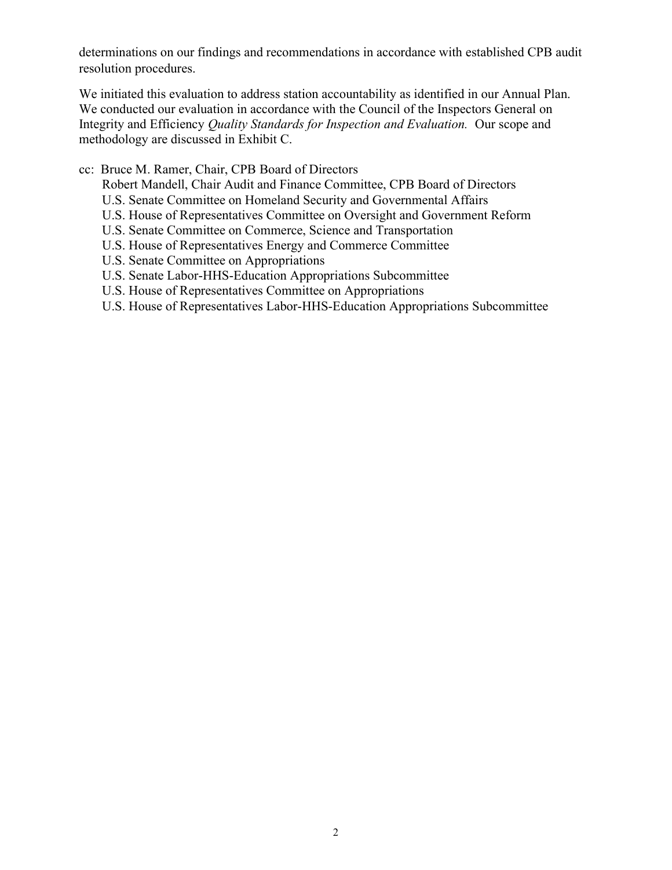determinations on our findings and recommendations in accordance with established CPB audit resolution procedures.

We initiated this evaluation to address station accountability as identified in our Annual Plan. We conducted our evaluation in accordance with the Council of the Inspectors General on Integrity and Efficiency Quality Standards for Inspection and Evaluation. Our scope and methodology are discussed in Exhibit C.

cc: Bruce M. Ramer, Chair, CPB Board of Directors

Robert Mandell, Chair Audit and Finance Committee, CPB Board of Directors

- U.S. Senate Committee on Homeland Security and Governmental Affairs
- U.S. House of Representatives Committee on Oversight and Government Reform
- U.S. Senate Committee on Commerce, Science and Transportation
- U.S. House of Representatives Energy and Commerce Committee
- U.S. Senate Committee on Appropriations
- U.S. Senate Labor-HHS-Education Appropriations Subcommittee
- U.S. House of Representatives Committee on Appropriations
- U.S. House of Representatives Labor-HHS-Education Appropriations Subcommittee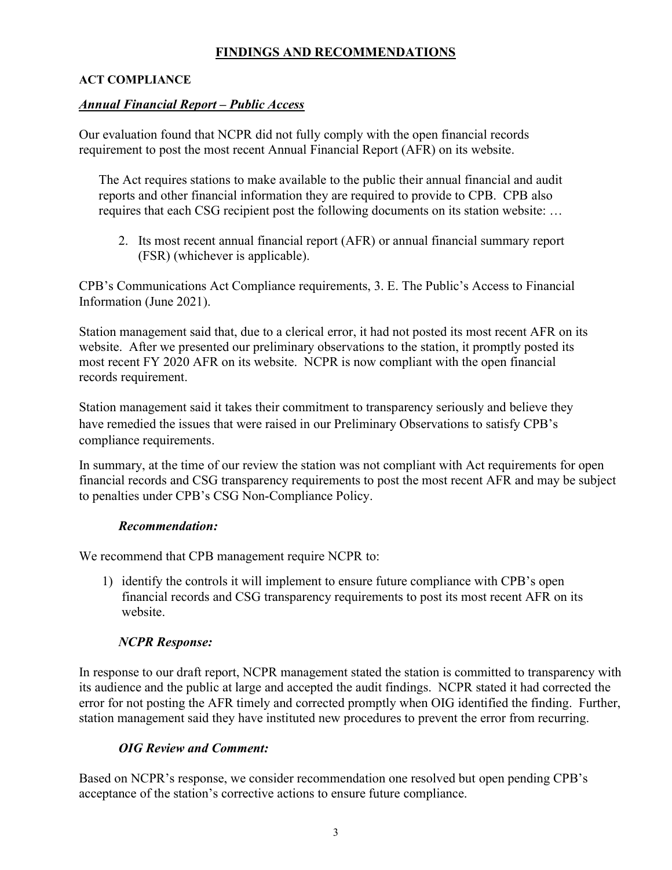# FINDINGS AND RECOMMENDATIONS

### ACT COMPLIANCE

## Annual Financial Report – Public Access

Our evaluation found that NCPR did not fully comply with the open financial records requirement to post the most recent Annual Financial Report (AFR) on its website.

The Act requires stations to make available to the public their annual financial and audit reports and other financial information they are required to provide to CPB. CPB also requires that each CSG recipient post the following documents on its station website: …

2. Its most recent annual financial report (AFR) or annual financial summary report (FSR) (whichever is applicable).

CPB's Communications Act Compliance requirements, 3. E. The Public's Access to Financial Information (June 2021).

Station management said that, due to a clerical error, it had not posted its most recent AFR on its website. After we presented our preliminary observations to the station, it promptly posted its most recent FY 2020 AFR on its website. NCPR is now compliant with the open financial records requirement.

Station management said it takes their commitment to transparency seriously and believe they have remedied the issues that were raised in our Preliminary Observations to satisfy CPB's compliance requirements.

In summary, at the time of our review the station was not compliant with Act requirements for open financial records and CSG transparency requirements to post the most recent AFR and may be subject to penalties under CPB's CSG Non-Compliance Policy.

### Recommendation:

We recommend that CPB management require NCPR to:

1) identify the controls it will implement to ensure future compliance with CPB's open financial records and CSG transparency requirements to post its most recent AFR on its website.

# NCPR Response:

In response to our draft report, NCPR management stated the station is committed to transparency with its audience and the public at large and accepted the audit findings. NCPR stated it had corrected the error for not posting the AFR timely and corrected promptly when OIG identified the finding. Further, station management said they have instituted new procedures to prevent the error from recurring.

### OIG Review and Comment:

Based on NCPR's response, we consider recommendation one resolved but open pending CPB's acceptance of the station's corrective actions to ensure future compliance.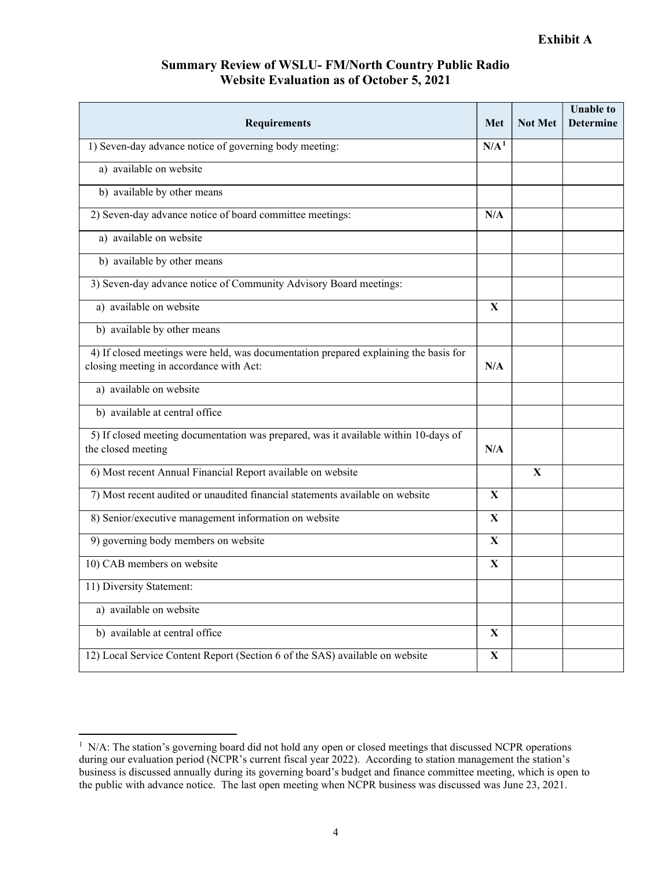## Summary Review of WSLU- FM/North Country Public Radio Website Evaluation as of October 5, 2021

| <b>Requirements</b>                                                                                                             | <b>Met</b>       | <b>Not Met</b> | <b>Unable to</b><br><b>Determine</b> |
|---------------------------------------------------------------------------------------------------------------------------------|------------------|----------------|--------------------------------------|
| 1) Seven-day advance notice of governing body meeting:                                                                          | N/A <sup>1</sup> |                |                                      |
| a) available on website                                                                                                         |                  |                |                                      |
| b) available by other means                                                                                                     |                  |                |                                      |
| 2) Seven-day advance notice of board committee meetings:                                                                        | N/A              |                |                                      |
| a) available on website                                                                                                         |                  |                |                                      |
| b) available by other means                                                                                                     |                  |                |                                      |
| 3) Seven-day advance notice of Community Advisory Board meetings:                                                               |                  |                |                                      |
| a) available on website                                                                                                         | $\mathbf{X}$     |                |                                      |
| b) available by other means                                                                                                     |                  |                |                                      |
| 4) If closed meetings were held, was documentation prepared explaining the basis for<br>closing meeting in accordance with Act: | N/A              |                |                                      |
| a) available on website                                                                                                         |                  |                |                                      |
| b) available at central office                                                                                                  |                  |                |                                      |
| 5) If closed meeting documentation was prepared, was it available within 10-days of<br>the closed meeting                       | N/A              |                |                                      |
| 6) Most recent Annual Financial Report available on website                                                                     |                  | $\mathbf{X}$   |                                      |
| 7) Most recent audited or unaudited financial statements available on website                                                   | X                |                |                                      |
| 8) Senior/executive management information on website                                                                           | X                |                |                                      |
| 9) governing body members on website                                                                                            | X                |                |                                      |
| 10) CAB members on website                                                                                                      | $\mathbf{X}$     |                |                                      |
| 11) Diversity Statement:                                                                                                        |                  |                |                                      |
| a) available on website                                                                                                         |                  |                |                                      |
| b) available at central office                                                                                                  | $\mathbf X$      |                |                                      |
| 12) Local Service Content Report (Section 6 of the SAS) available on website                                                    | $\mathbf X$      |                |                                      |

<sup>&</sup>lt;sup>1</sup> N/A: The station's governing board did not hold any open or closed meetings that discussed NCPR operations during our evaluation period (NCPR's current fiscal year 2022). According to station management the station's business is discussed annually during its governing board's budget and finance committee meeting, which is open to the public with advance notice. The last open meeting when NCPR business was discussed was June 23, 2021.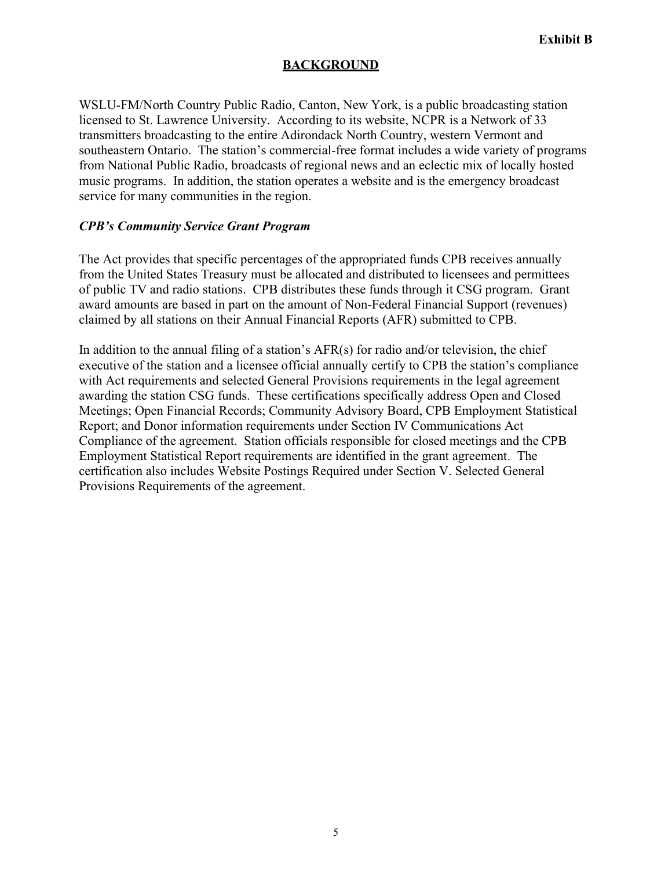## BACKGROUND

WSLU-FM/North Country Public Radio, Canton, New York, is a public broadcasting station licensed to St. Lawrence University. According to its website, NCPR is a Network of 33 transmitters broadcasting to the entire Adirondack North Country, western Vermont and southeastern Ontario. The station's commercial-free format includes a wide variety of programs from National Public Radio, broadcasts of regional news and an eclectic mix of locally hosted music programs. In addition, the station operates a website and is the emergency broadcast service for many communities in the region.

### CPB's Community Service Grant Program

The Act provides that specific percentages of the appropriated funds CPB receives annually from the United States Treasury must be allocated and distributed to licensees and permittees of public TV and radio stations. CPB distributes these funds through it CSG program. Grant award amounts are based in part on the amount of Non-Federal Financial Support (revenues) claimed by all stations on their Annual Financial Reports (AFR) submitted to CPB.

In addition to the annual filing of a station's  $AFR(s)$  for radio and/or television, the chief executive of the station and a licensee official annually certify to CPB the station's compliance with Act requirements and selected General Provisions requirements in the legal agreement awarding the station CSG funds. These certifications specifically address Open and Closed Meetings; Open Financial Records; Community Advisory Board, CPB Employment Statistical Report; and Donor information requirements under Section IV Communications Act Compliance of the agreement. Station officials responsible for closed meetings and the CPB Employment Statistical Report requirements are identified in the grant agreement. The certification also includes Website Postings Required under Section V. Selected General Provisions Requirements of the agreement.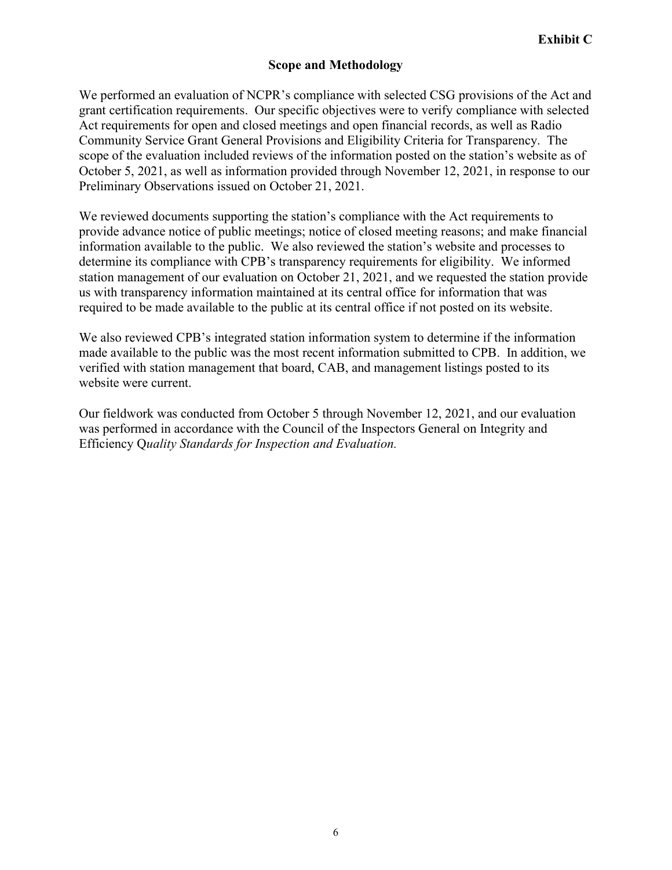# Scope and Methodology

We performed an evaluation of NCPR's compliance with selected CSG provisions of the Act and grant certification requirements. Our specific objectives were to verify compliance with selected Act requirements for open and closed meetings and open financial records, as well as Radio Community Service Grant General Provisions and Eligibility Criteria for Transparency. The scope of the evaluation included reviews of the information posted on the station's website as of October 5, 2021, as well as information provided through November 12, 2021, in response to our Preliminary Observations issued on October 21, 2021.

We reviewed documents supporting the station's compliance with the Act requirements to provide advance notice of public meetings; notice of closed meeting reasons; and make financial information available to the public. We also reviewed the station's website and processes to determine its compliance with CPB's transparency requirements for eligibility. We informed station management of our evaluation on October 21, 2021, and we requested the station provide us with transparency information maintained at its central office for information that was required to be made available to the public at its central office if not posted on its website.

We also reviewed CPB's integrated station information system to determine if the information made available to the public was the most recent information submitted to CPB. In addition, we verified with station management that board, CAB, and management listings posted to its website were current.

Our fieldwork was conducted from October 5 through November 12, 2021, and our evaluation was performed in accordance with the Council of the Inspectors General on Integrity and Efficiency Quality Standards for Inspection and Evaluation.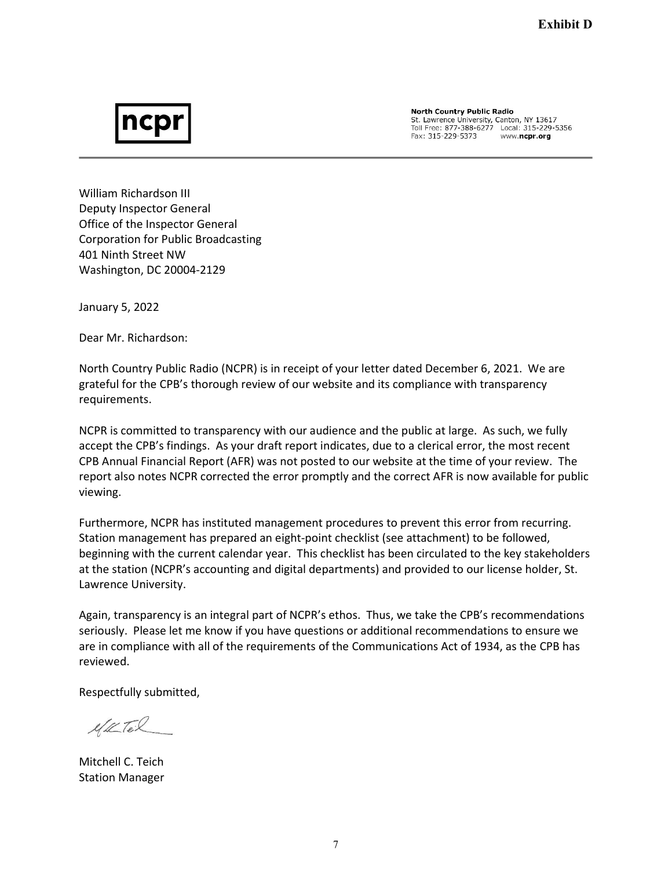# ncpl

**North Country Public Radio** St. Lawrence University, Canton, NY 13617 Fax: 315-229-5373 www.ncpr.org

William Richardson III Deputy Inspector General Office of the Inspector General Corporation for Public Broadcasting 401 Ninth Street NW Washington, DC 20004-2129

January 5, 2022

Dear Mr. Richardson:

North Country Public Radio (NCPR) is in receipt of your letter dated December 6, 2021. We are grateful for the CPB's thorough review of our website and its compliance with transparency requirements.

NCPR is committed to transparency with our audience and the public at large. As such, we fully accept the CPB's findings. As your draft report indicates, due to a clerical error, the most recent CPB Annual Financial Report (AFR) was not posted to our website at the time of your review. The report also notes NCPR corrected the error promptly and the correct AFR is now available for public viewing.

Furthermore, NCPR has instituted management procedures to prevent this error from recurring. Station management has prepared an eight-point checklist (see attachment) to be followed, beginning with the current calendar year. This checklist has been circulated to the key stakeholders at the station (NCPR's accounting and digital departments) and provided to our license holder, St. Lawrence University.

Again, transparency is an integral part of NCPR's ethos. Thus, we take the CPB's recommendations seriously. Please let me know if you have questions or additional recommendations to ensure we are in compliance with all of the requirements of the Communications Act of 1934, as the CPB has reviewed.

Respectfully submitted,

elle Teil

Mitchell C. Teich Station Manager